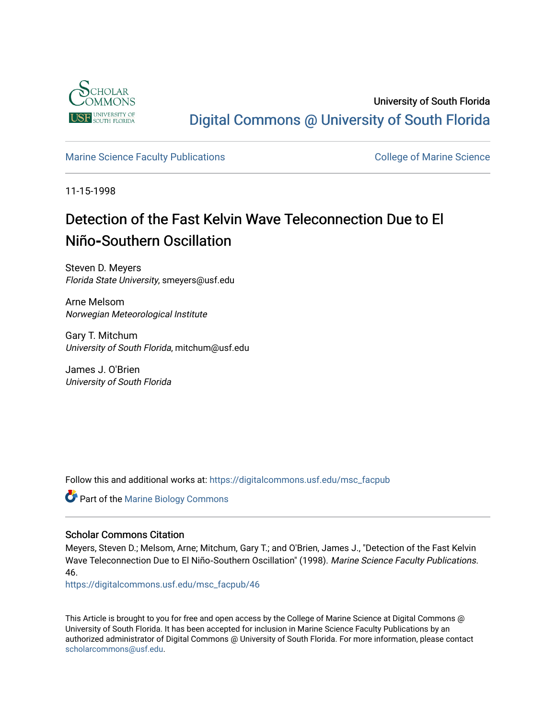

University of South Florida [Digital Commons @ University of South Florida](https://digitalcommons.usf.edu/) 

# [Marine Science Faculty Publications](https://digitalcommons.usf.edu/msc_facpub) **College of Marine Science** College of Marine Science

11-15-1998

# Detection of the Fast Kelvin Wave Teleconnection Due to El Niño**‐**Southern Oscillation

Steven D. Meyers Florida State University, smeyers@usf.edu

Arne Melsom Norwegian Meteorological Institute

Gary T. Mitchum University of South Florida, mitchum@usf.edu

James J. O'Brien University of South Florida

Follow this and additional works at: [https://digitalcommons.usf.edu/msc\\_facpub](https://digitalcommons.usf.edu/msc_facpub?utm_source=digitalcommons.usf.edu%2Fmsc_facpub%2F46&utm_medium=PDF&utm_campaign=PDFCoverPages) 

**C** Part of the Marine Biology Commons

## Scholar Commons Citation

Meyers, Steven D.; Melsom, Arne; Mitchum, Gary T.; and O'Brien, James J., "Detection of the Fast Kelvin Wave Teleconnection Due to El Niño‐Southern Oscillation" (1998). Marine Science Faculty Publications. 46.

[https://digitalcommons.usf.edu/msc\\_facpub/46](https://digitalcommons.usf.edu/msc_facpub/46?utm_source=digitalcommons.usf.edu%2Fmsc_facpub%2F46&utm_medium=PDF&utm_campaign=PDFCoverPages)

This Article is brought to you for free and open access by the College of Marine Science at Digital Commons @ University of South Florida. It has been accepted for inclusion in Marine Science Faculty Publications by an authorized administrator of Digital Commons @ University of South Florida. For more information, please contact [scholarcommons@usf.edu.](mailto:scholarcommons@usf.edu)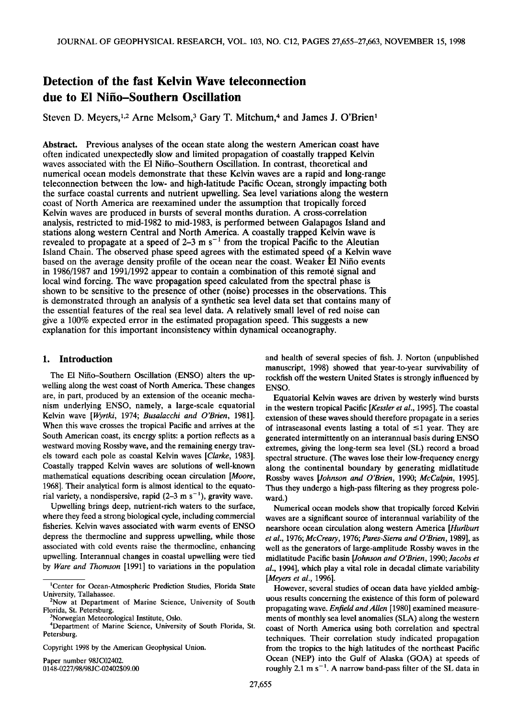# **Detection of the fast Kelvin Wave teleconnection due to El Nifio-Southern Oscillation**

Steven D. Meyers,<sup>1,2</sup> Arne Melsom,<sup>3</sup> Gary T. Mitchum,<sup>4</sup> and James J. O'Brien<sup>1</sup>

**Abstract. Previous analyses of the ocean state along the western American coast have often indicated unexpectedly slow and limited propagation of coastally trapped Kelvin waves associated with the E1 Nifio-Southern Oscillation. In contrast, theoretical and numerical ocean models demonstrate that these Kelvin waves are a rapid and long-range teleconnection between the low- and high-latitude Pacific Ocean, strongly impacting both the surface coastal currents and nutrient upwelling. Sea level variations along the western coast of North America are reexamined under the assumption that tropically forced Kelvin waves are produced in bursts of several months duration. A cross-correlation analysis, restricted to mid-1982 to mid-1983, is performed between Galapagos Island and stations along western Central and North America. A coastally trapped Kelvin wave is**  revealed to propagate at a speed of  $2-3$  m s<sup> $-1$ </sup> from the tropical Pacific to the Aleutian **Island Chain. The observed phase speed agrees with the estimated speed of a Kelvin wave**  based on the average density profile of the ocean near the coast. Weaker El Niño events in 1986/1987 and 1991/1992 appear to contain a combination of this remote signal and local wind forcing. The wave propagation speed calculated from the spectral phase is **shown to be sensitive to the presence of other (noise) processes in the observations. This is demonstrated through an analysis of a synthetic sea level data set that contains many of the essential features of the real sea level data. A relatively small level of red noise can give a 100% expected error in the estimated propagation speed. This suggests anew explanation for this important inconsistency within dynamical oceanography.** 

#### **1. Introduction**

**The E1 Nifio-Southern Oscillation (ENSO) alters the upwelling along the west coast of North America. These changes are, in part, produced by an extension of the oceanic mechanism underlying ENSO, namely, a large-scale equatorial Kelvin wave [Wyrtki, 1974; Busalacchi and O'Brien, 1981]. When this wave crosses the tropical Pacific and arrives at the South American coast, its energy splits: a portion reflects as a westward moving Rossby wave, and the remaining energy travels toward each pole as coastal Kelvin waves [Clarke, 1983]. Coastally trapped Kelvin waves are solutions of well-known mathematical equations describing ocean circulation [Moore, 1968]. Their analytical form is almost identical to the equato**rial variety, a nondispersive, rapid  $(2-3 \text{ m s}^{-1})$ , gravity wave.

**Upwelling brings deep, nutrient-rich waters to the surface, where they feed a strong biological cycle, including commercial fisheries. Kelvin waves associated with warm events of ENSO depress the thermocline and suppress upwelling, while those associated with cold events raise the thermocline, enhancing upwelling. Interannual changes in coastal upwelling were tied by Ware and Thomson [1991] to variations in the population** 

**Paper number 98JC02402. 0148-0227/98/98JC-02402509.00** 

**and health of several species of fish. J. Norton (unpublished manuscript, 1998) showed that year-to-year survivability of rockfish off the western United States is strongly influenced by ENSO.** 

**Equatorial Kelvin waves are driven by westerly wind bursts in the western tropical Pacific [Kessler et al., 1995]. The coastal extension of these waves should therefore propagate in a series**  of intraseasonal events lasting a total of  $\leq 1$  year. They are **generated intermittently on an interannual basis during ENSO extremes, giving the long-term sea level (SL) record a broad spectral structure. (The waves lose their low-frequency energy along the continental boundary by generating midlatitude Rossby waves [Johnson and O'Brien, 1990; McCalpin, 1995]. Thus they undergo a high-pass filtering as they progress poleward.)** 

**Numerical ocean models show that tropically forced Kelvin waves are a significant source of interannual variability of the nearshore ocean circulation along western America [Hurlbutt**  et al., 1976; McCreary, 1976; Pares-Sierra and O'Brien, 1989], as **well as the generators of large-amplitude Rossby waves in the midlatitude Pacific basin [Johnson and O'Brien, 1990; Jacobs et al., 1994], which play a vital role in decadal climate variability [Meyers et al., 1996].** 

**However, several studies of ocean data have yielded ambiguous results concerning the existence of this form of poleward propagating wave. Enfield and Allen [1980] examined measurements of monthly sea level anomalies (SLA) along the western coast of North America using both correlation and spectral techniques. Their correlation study indicated propagation from the tropics to the high latitudes of the northeast Pacific Ocean (NEP) into the Gulf of Alaska (GOA) at speeds of**  roughly 2.1 m s<sup>-1</sup>. A narrow band-pass filter of the SL data in

**<sup>•</sup>Center for Ocean-Atmospheric Prediction Studies, Florida State University, Tallahassee.** 

**<sup>2</sup>Now at Department of Marine Science, University of South Florida, St. Petersburg.** 

**<sup>3</sup>Norwegian Meteorological Institute, Oslo.** 

**<sup>4</sup>Department of Marine Science, University of South Florida, St. Petersburg.** 

**Copyright 1998 by the American Geophysical Union.**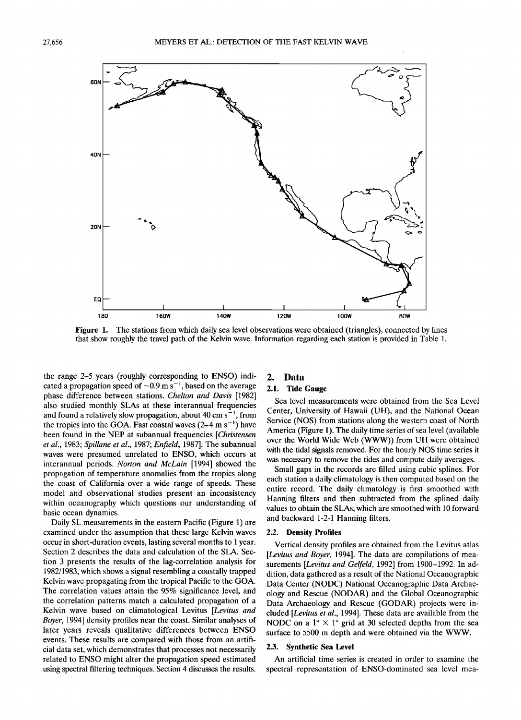

**Figure 1. The stations from which daily sea level observations were obtained (triangles), connected by lines that show roughly the travel path of the Kelvin wave. Information regarding each station is provided in Table 1.** 

**the range 2-5 years (roughly corresponding to ENSO) indi**cated a propagation speed of  $\sim 0.9$  m s<sup>-1</sup>, based on the average **phase difference between stations. Cheltan and Davis [1982] also studied monthly SLAs at these interannual frequencies**  and found a relatively slow propagation, about 40 cm s<sup>-1</sup>, from the tropics into the GOA. Fast coastal waves  $(2-4 \text{ m s}^{-1})$  have **been found in the NEP at subannual frequencies [Christensen et al., 1983; Spillane et al., 1987; Enfield, 1987]. The subannual waves were presumed unrelated to ENSO, which occurs at interannual periods. Norton and McLain [1994] showed the propagation of temperature anomalies from the tropics along the coast of California over a wide range of speeds. These model and observational studies present an inconsistency within oceanography which questions our understanding of basic ocean dynamics.** 

**Daily SL measurements in the eastern Pacific (Figure 1) are examined under the assumption that these large Kelvin waves occur in short-duration events, lasting several months to 1 year. Section 2 describes the data and calculation of the SLA. Section 3 presents the results of the lag-correlation analysis for 1982/1983, which shows a signal resembling a coastally trapped Kelvin wave propagating from the tropical Pacific to the GOA. The correlation values attain the 95% significance level, and the correlation patterns match a calculated propagation of a Kelvin wave based on climatological Levitus [Levitus and Bayer, 1994] density profiles near the coast. Similar analyses of later years reveals qualitative differences between ENSO events. These results are compared with those from an artificial data set, which demonstrates that processes not necessarily related to ENSO might alter the propagation speed estimated using spectral filtering techniques. Section 4 discusses the results.** 

### **2. Data**

#### **2.1. Tide Gauge**

**Sea level measurements were obtained from the Sea Level Center, University of Hawaii (UH), and the National Ocean Service (NOS) from stations along the western coast of North America (Figure 1). The daily time series of sea level (available over the World Wide Web (WWW)) from UH were obtained with the tidal signals removed. For the hourly NOS time series it was necessary to remove the tides and compute daily averages.** 

**Small gaps in the records are filled using cubic splines. For each station a daily climatology is then computed based on the entire record. The daily climatology is first smoothed with Hanning filters and then subtracted from the splined daily values to obtain the SLAs, which are smoothed with 10 forward and backward 1-2-1 Hanning filters.** 

#### **2.2. Density Profiles**

**Vertical density profiles are obtained from the Levitus atlas [Levitus and Bayer, 1994]. The data are compilations of measurements [Levitus and Gelfeld, 1992] from 1900-1992. In addition, data gathered as a result of the National Oceanographic Data Center (NODC) National Oceanographic Data Archaeology and Rescue (NODAR) and the Global Oceanographic Data Archaeology and Rescue (GODAR) projects were included [Levitus et al., 1994]. These data are available from the NODC** on a  $1^\circ \times 1^\circ$  grid at 30 selected depths from the sea **surface to 5500 m depth and were obtained via the WWW.** 

#### **2.3. Synthetic Sea Level**

**An artificial time series is created in order to examine the spectral representation of ENSO-dominated sea level mea-**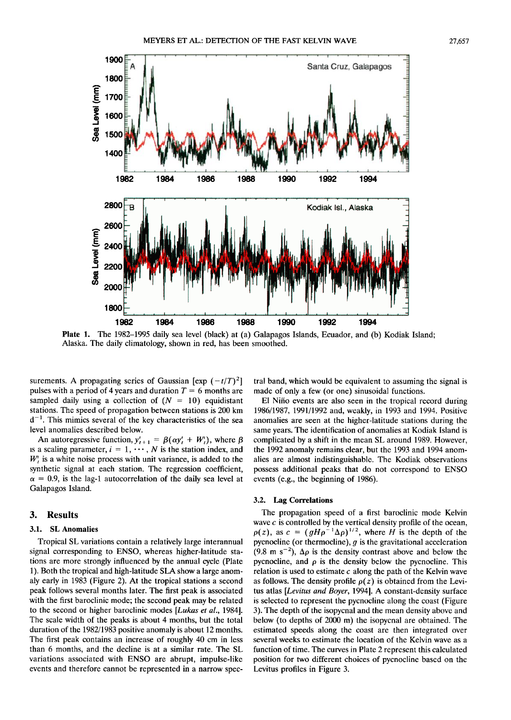

**Plate 1. The 1982-1995 daily sea level (black) at (a) Galapagos Islands, Ecuador, and (b) Kodiak Island; Alaska. The daily climatology, shown in red, has been smoothed.** 

surements. A propagating series of Gaussian  $[\exp(-t/T)^2]$ pulses with a period of 4 years and duration  $T = 6$  months are sampled daily using a collection of  $(N = 10)$  equidistant **stations. The speed of propagation between stations is 200 km d -•. This mimics several of the key characteristics of the sea level anomalies described below.** 

An autoregressive function,  $y'_{t+1} = \beta(\alpha y'_{t} + W'_{t})$ , where  $\beta$ is a scaling parameter,  $i = 1, \dots, N$  is the station index, and  $W<sub>i</sub>$  is a white noise process with unit variance, is added to the **synthetic signal at each station. The regression coefficient,**   $\alpha = 0.9$ , is the lag-1 autocorrelation of the daily sea level at **Galapagos Island.** 

#### **3. Results**

#### **3.1. SL Anomalies**

**Tropical SL variations contain a relatively large interannual signal corresponding to ENSO, whereas higher-latitude stations are more strongly influenced by the annual cycle (Plate I). Both the tropical and high-latitude SLA show a large anomaly early in 1983 (Figure 2). At the tropical stations a second peak follows several months later. The first peak is associated with the first baroclinic mode; the second peak may be related to the second or higher baroclinic modes [Lukas et al., 1984]. The scale width of the peaks is about 4 months, but the total duration of the 1982/1983 positive anomaly is about 12 months. The first peak contains an increase of roughly 40 cm in less than 6 months, and the decline is at a similar rate. The SL variations associated with ENSO are abrupt, impulse-like events and therefore cannot be represented in a narrow spec-** **tral band, which would be equivalent to assuming the signal is made of only a few (or one) sinusoidal functions.** 

**E1 Nifio events are also seen in the tropical record during 1986/1987, 1991/1992 and, weakly, in 1993 and 1994. Positive anomalies are seen at the higher-latitude stations during the same years. The identification of anomalies at Kodiak Island is complicated by a shift in the mean SL around 1989. However, the 1992 anomaly remains clear, but the 1993 and 1994 anomalies are almost indistinguishable. The Kodiak observations possess additional peaks that do not correspond to ENSO events (e.g., the beginning of 1986).** 

#### **3.2. Lag Correlations**

**The propagation speed of a first baroclinic mode Kelvin wave c is controlled by the vertical density profile of the ocean,**   $p(z)$ , as  $c = (gH\rho^{-1}\Delta\rho)^{1/2}$ , where  $H$  is the depth of the **pycnocline (or thermocline), g is the gravitational acceleration**  (9.8 m s<sup>-2</sup>),  $\Delta \rho$  is the density contrast above and below the pycnocline, and  $\rho$  is the density below the pycnocline. This **relation is used to estimate c along the path of the Kelvin wave**  as follows. The density profile  $\rho(z)$  is obtained from the Levi**tus atlas [Levitus and Boyer, 1994]. A constant-density surface is selected to represent the pycnocline along the coast (Figure 3). The depth of the isopycnal and the mean density above and below (to depths of 2000 m) the isopycnal are obtained. The estimated speeds along the coast are then integrated over several weeks to estimate the location of the Kelvin wave as a function of time. The curves in Plate 2 represent this calculated position for two different choices of pycnocline based on the Levitus profiles in Figure 3.**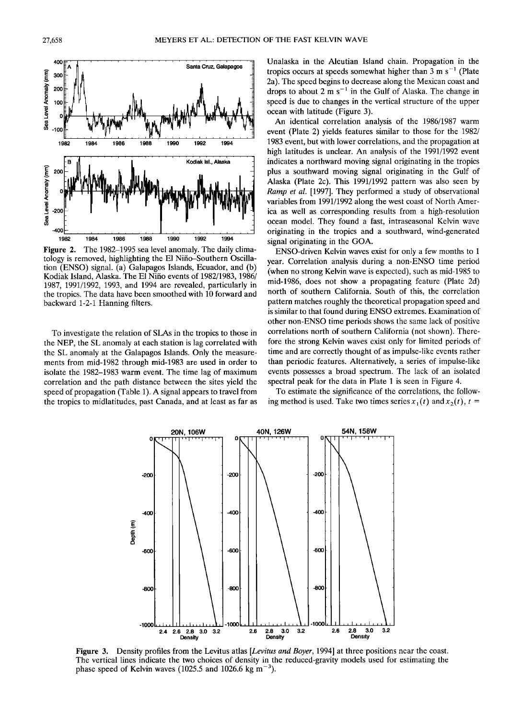

**Figure 2. The 1982-1995 sea level anomaly. The daily climatology is removed, highlighting the E1 Nifio-Southern Oscillation (ENSO) signal. (a) Galapagos Islands, Ecuador, and (b) Kodiak Island, Alaska. The E1Nifio events of 1982/1983, 1986/ 1987, 1991/1992, 1993, and 1994 are revealed, particularly in the tropics. The data have been smoothed with 10 forward and backward 1-2-1 Hanning filters.** 

**To investigate the relation of SLAs in the tropics to those in the NEP, the SL anomaly at each station is lag correlated with the SL anomaly at the Galapagos Islands. Only the measurements from mid-1982 through mid-1983 are used in order to isolate the 1982-1983 warm event. The time lag of maximum correlation and the path distance between the sites yield the speed of propagation (Table 1). A signal appears to travel from the tropics to midlatitudes, past Canada, and at least as far as**  **Unalaska in the Aleutian Island chain. Propagation in the**  tropics occurs at speeds somewhat higher than  $3 \text{ m s}^{-1}$  (Plate **2a). The speed begins to decrease along the Mexican coast and**  drops to about 2 m s<sup>-1</sup> in the Gulf of Alaska. The change in **speed is due to changes in the vertical structure of the upper ocean with latitude (Figure 3).** 

**An identical correlation analysis of the 1986/1987 warm event (Plate 2) yields features similar to those for the 1982/ 1983 event, but with lower correlations, and the propagation at high latitudes is unclear. An analysis of the 1991/1992 event indicates a northward moving signal originating in the tropics plus a southward moving signal originating in the Gulf of Alaska (Plate 2c). This 1991/1992 pattern was also seen by Ramp et al. [1997]. They performed a study of observational variables from 1991/1992 along the west coast of North America as well as corresponding results from a high-resolution ocean model. They found a fast, intraseasonal Kelvin wave originating in the tropics and a southward, wind-generated signal originating in the GOA.** 

**ENSO-driven Kelvin waves exist for only a few months to 1 year. Correlation analysis during a non-ENSO time period (when no strong Kelvin wave is expected), such as mid-1985 to mid-1986, does not show a propagating feature (Plate 2d) north of southern California. South of this, the correlation pattern matches roughly the theoretical propagation speed and is similar to that found during ENSO extremes. Examination of other non-ENSO time periods shows the same lack of positive correlations north of southern California (not shown). Therefore the strong Kelvin waves exist only for limited periods of time and are correctly thought of as impulse-like events rather than periodic features. Alternatively, a series of impulse-like events possesses a broad spectrum. The lack of an isolated spectral peak for the data in Plate 1 is seen in Figure 4.** 

**To estimate the significance of the correlations, the follow**ing method is used. Take two times series  $x_1(t)$  and  $x_2(t)$ ,  $t =$ 



**Figure 3.** Density profiles from the Levitus atlas [Levitus and Boyer, 1994] at three positions near the coast. **The vertical lines indicate the two choices of density in the reduced-gravity models used for estimating the**  phase speed of Kelvin waves (1025.5 and 1026.6 kg m<sup>-3</sup>).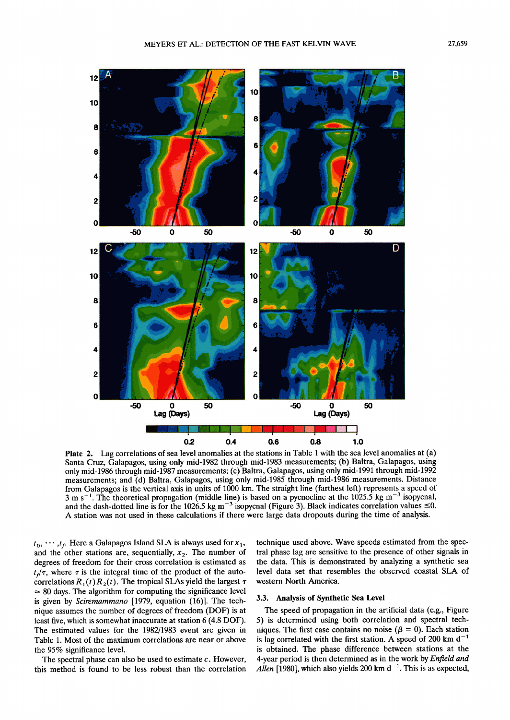

**Plate 2. Lag correlations of sea level anomalies at the stations in Table 1 with the sea level anomalies at (a) Santa Cruz, Galapagos, using only mid-1982 through mid-1983 measurements; (b) Baltra, Galapagos, using**  only mid-1986 through mid-1987 measurements; (c) Baltra, Galapagos, using only mid-1991 through mid-1992 **measurements; and (d) Baltra, Galapagos, using only mid-1985 through mid-1986 measurements. Distance from Galapagos is the vertical axis in units of 1000 km. The straight line (farthest left) represents a speed of**   $3 \text{ m s}^{-1}$ . The theoretical propagation (middle line) is based on a pycnocline at the 1025.5 kg m<sup>-3</sup> isopycnal, and the dash-dotted line is for the 1026.5 kg m<sup>-3</sup> isopycnal (Figure 3). Black indicates correlation values  $\leq 0$ . **A station was not used in these calculations if there were large data dropouts during the time of analysis.** 

 $t_0, \dots, t_f$ . Here a Galapagos Island SLA is always used for  $x_1$ , and the other stations are, sequentially,  $x<sub>2</sub>$ . The number of **degrees of freedom for their cross correlation is estimated as**   $t_{\tau}/\tau$ , where  $\tau$  is the integral time of the product of the autocorrelations  $R_1(t) R_2(t)$ . The tropical SLAs yield the largest  $\tau$ **= 80 days. The algorithm for computing the significance level is given by Sciremammano [1979, equation (16)]. The technique assumes the number of degrees of freedom (DOF) is at least five, which is somewhat inaccurate at station 6 (4.8 DOF). The estimated values for the 1982/1983 event are given in Table 1. Most of the maximum correlations are near or above the 95% significance level.** 

**The spectral phase can also be used to estimate c. However, this method is found to be less robust than the correlation**  **technique used above. Wave speeds estimated from the spectral phase lag are sensitive to the presence of other signals in the data. This is demonstrated by analyzing a synthetic sea level data set that resembles the observed coastal SLA of western North America.** 

#### **3.3. Analysis of Synthetic Sea Level**

**The speed of propagation in the artificial data (e.g., Figure 5) is determined using both correlation and spectral tech**niques. The first case contains no noise ( $\beta = 0$ ). Each station is lag correlated with the first station. A speed of 200 km  $d^{-1}$ **is obtained. The phase difference between stations at the 4-year period is then determined as in the work by Enfield and**  Allen [1980], which also yields 200 km  $d^{-1}$ . This is as expected,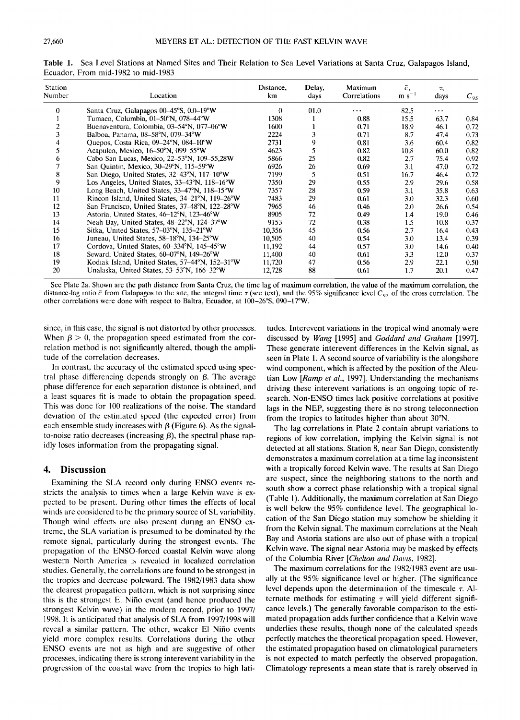| <b>Station</b><br>Number | Location                                        | Distance,<br>km | Delay,<br>days | Maximum<br>Correlations | $\bar{c}$ ,<br>$m s^{-1}$ | Τ,<br>days | $C_{95}$ |
|--------------------------|-------------------------------------------------|-----------------|----------------|-------------------------|---------------------------|------------|----------|
| $\theta$                 | Santa Cruz, Galapagos 00–45°S, 0.0–19°W         | $\theta$        | 01.0           | $\cdots$                | 82.5                      | $\cdots$   |          |
|                          | Tumaco, Columbia, 01-50°N, 078-44°W             | 1308            |                | 0.88                    | 15.5                      | 63.7       | 0.84     |
|                          | Buenaventura, Colombia, 03–54°N, 077–06°W       | 1600            |                | 0.71                    | 18.9                      | 46.1       | 0.72     |
| 3                        | Balboa, Panama, 08-58°N, 079-34°W               | 2224            |                | 0.71                    | 8.7                       | 47.4       | 0.73     |
| 4                        | Quepos, Costa Rica, 09-24°N, 084-10°W           | 2731            | 9              | 0.81                    | 3.6                       | 60.4       | 0.82     |
| 5.                       | Acapulco, Mexico, 16-50°N, 099-55°W             | 4623            |                | 0.82                    | 10.8                      | 60.0       | 0.82     |
| 6                        | Cabo San Lucas, Mexico, 22-53°N, 109-55,28W     | 5866            | 25             | 0.82                    | 2.7                       | 75.4       | 0.92     |
|                          | San Quintin, Mexico, 30-29°N, 115-59°W          | 6926            | 26             | 0.69                    | 3.1                       | 47.0       | 0.72     |
| 8                        | San Diego, United States, 32–43°N, 117–10°W     | 7199            | 5              | 0.51                    | 16.7                      | 46.4       | 0.72     |
| 9                        | Los Angeles, United States, 33–43°N, 118–16°W   | 7350            | 29             | 0.55                    | 2.9                       | 29.6       | 0.58     |
| 10                       | Long Beach, United States, 33–47°N, 118–15°W    | 7357            | 28             | 0.59                    | 3.1                       | 35.8       | 0.63     |
| 11                       | Rincon Island, United States, 34-21°N, 119-26°W | 7483            | 29             | 0.61                    | 3.0                       | 32.3       | 0.60     |
| 12                       | San Francisco, United States, 37–48°N, 122–28°W | 7965            | 46             | 0.46                    | 2.0                       | 26.6       | 0.54     |
| 13                       | Astoria, United States, 46–12°N, 123–46°W       | 8905            | 72             | 0.49                    | 1.4                       | 19.0       | 0.46     |
| 14                       | Neah Bay, United States, 48–22°N, 124–37°W      | 9153            | 72             | 0.38                    | 1.5                       | 10.8       | 0.37     |
| 15                       | Sitka, United States, 57-03°N, 135-21°W         | 10,356          | 45             | 0.56                    | 2.7                       | 16.4       | 0.43     |
| 16                       | Juneau, United States, 58–18°N, 134–25°W        | 10,505          | 40             | 0.54                    | 3.0                       | 13.4       | 0.39     |
| 17                       | Cordova, United States, 60–334°N, 145–45°W      | 11,192          | 44             | 0.57                    | 3.0                       | 14.6       | 0.40     |
| 18                       | Seward, United States, 60–07°N, 149–26°W        | 11,400          | 40             | 0.61                    | 3.3                       | 12.0       | 0.37     |
| 19                       | Kodiak Island, United States, 57–44°N, 152–31°W | 11,720          | 47             | 0.56                    | 2.9                       | 22.1       | 0.50     |
| 20                       | Unalaska, United States, 53–53°N, 166–32°W      | 12,728          | 88             | 0.61                    | 1.7                       | 20.1       | 0.47     |

**Table 1. Sea Level Stations at Named Sites and Their Relation to Sea Level Variations at Santa Cruz, Galapages Island, Ecuador, From mid-1982 to mid-1983** 

**See Plate 2a. Shown are the path distance from Santa Cruz, the time lag of maximum correlation, the value of the maximum correlation, the**  distance-lag ratio  $\bar{c}$  from Galapagos to the site, the integral time  $\tau$  (see text), and the 95% significance level  $C_{.95}$  of the cross correlation. The other correlations were done with respect to Baltra, Ecuador, at 100-26<sup>o</sup>S, 090-17<sup>o</sup>W.

**since, in this case, the signal is not distorted by other processes.**  When  $\beta > 0$ , the propagation speed estimated from the cor**relation method is not significantly altered, though the amplitude of the correlation decreases.** 

**In contrast, the accuracy of the estimated speed using spec**tral phase differencing depends strongly on  $\beta$ . The average **phase difference for each separation distance is obtained, and a least squares fit is made to obtain the propagation speed. This was done for 100 realizations of the noise. The standard deviation of the estimated speed (the expected error) from**  each ensemble study increases with  $\beta$  (Figure 6). As the signalto-noise ratio decreases (increasing  $\beta$ ), the spectral phase rap**idly loses information from the propagating signal.** 

#### **4. Discussion**

**Examining the SLA record only during ENSO events restricts the analysis to timcs whcn a large Kelvin wave is expected to bc prcscnt. During othcr times the effects of local**  winds are considered to be the primary source of SL variability. Though wind effects are also present during an ENSO ex**treme, the SLA variation is prcsumcd to be dominatcd by thc remote signal, particularly during the strongest evcnts. Thc propagation of thc ENSO-forccd coastal Kelvin wavc along western North America is rcvcalcd in localized corrclation studies. Generally, the corrclations are found to be strongest in thc tropics and dccrcasc polcward. The 1982/1983 data show the clearest propagation pattcrn, which is not surprising since this is the strongest El Nifio cvcnt (and hence produced the strongest Kelvin wavc) in the modern record, prior to 1997/ 1998. It is anticipated that analysis of SLA from 1997/1998 will reveal a similar pattern. The other, weaker E1 Nifio cvents yield more complex results. Correlations during the other ENSO events are not as high and are suggestive of other processes, indicating there is strong interevent variability in the progression of thc coastal wave from the tropics to high lati-** **tudes. Interevent variations in the tropical wind anomaly were discussed by Wang [1995] and Goddard and Graham [1997]. These generate interevent differences in the Kelvin signal, as seen in Plate 1. A second source of variability is the alongshore wind component, which is affected by the position of the Aleutian Low [Ramp et al., 1997]. Understanding the mechanisms driving these interevent variations is an ongoing topic of research. Non-ENSO times lack positive correlations at positive lags in the NEP, suggesting there is no strong teleconnection**  from the tropics to latitudes higher than about 30°N.

**The lag correlations in Plate 2 contain abrupt variations to regions of low correlation, implying the Kelvin signal is not detected at all stations. Station 8, near San Diego, consistently demonstrates a maximum correlation at a time lag inconsistent with a tropically forced Kelvin wave. The results at San Diego arc suspect, since the neighboring stations to the north and south show a correct phase relationship with a tropical signal (Table 1). Additionally, the maximum correlation at San Diego**  is well below the 95% confidence level. The geographical lo**cation of the San Diego station may somchow be shielding it from the Kelvin signal. The maximum correlations at the Neah Bay and Astoria stations are also out of phase with a tropical Kclvin wave. The signal near Astoria may be masked by effects**  of the Columbia River [Chelton and Davis, 1982].

**The maximum correlations for the 1982/1983 event are usually at the 95% significance level or higher. (The significance level depends upon the determination of the timescale r. A1**  ternate methods for estimating  $\tau$  will yield different signifi**cance levels.) The generally favorable comparison to the estimated propagation adds further confidence that a Kelvin wave underlies these results, though none of the calculated speeds perfectly matches the theoretical propagation speed. However, the estimated propagation based on climatological parameters is not expected to match perfectly the observed propagation. Climatology represents a mean state that is rarely observed in**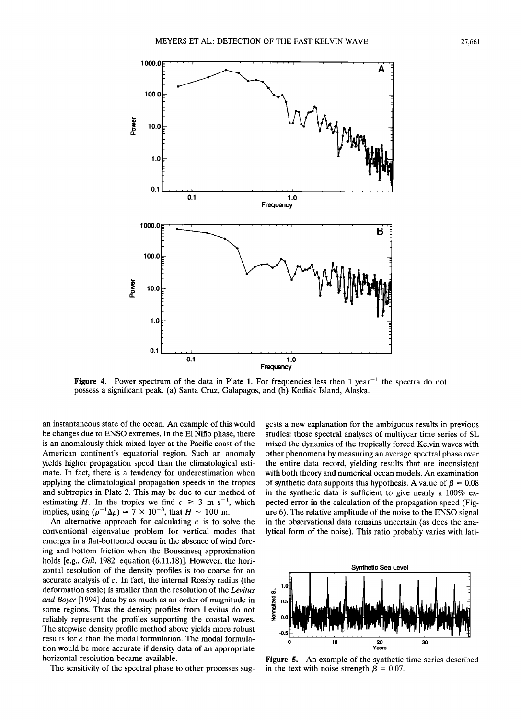

**Figure 4.** Power spectrum of the data in Plate 1. For frequencies less then 1 year<sup> $-1$ </sup> the spectra do not **possess a significant peak. (a) Santa Cruz, Galapagos, and (b) Kodiak Island, Alaska.** 

an instantaneous state of the ocean. An example of this would **be changes due to ENSO extremes. In the E1 Nifio phase, there is an anomalously thick mixed layer at the Pacific coast of the American continent's equatorial region. Such an anomaly yields higher propagation speed than the climatological estimate. In fact, there is a tendency for underestimation when applying the climatological propagation speeds in the tropics and subtropics in Plate 2. This may be due to our method of**  estimating H. In the tropics we find  $c \approx 3$  m s<sup>-1</sup>, which implies, using  $(\rho^{-1}\Delta\rho) \simeq 7 \times 10^{-3}$ , that  $H \sim 100$  m.

An alternative approach for calculating  $c$  is to solve the **conventional eigenvalue problem for vertical modes that emerges in a flat-bottomed ocean in the absence of wind forcing and bottom friction when the Boussinesq approximation holds [e.g., Gill, 1982, equation (6.11.18)]. However, the horizontal resolution of the density profiles is too coarse for an accurate analysis of c. In fact, the internal Rossby radius (the deformation scale) is smaller than the resolution of the Levitus and Boyer [1994] data by as much as an order of magnitude in some regions. Thus the density profiles from Levitus do not reliably represent the profiles supporting the coastal waves. The stepwise density profile method above yields more robust results for c than the modal formulation. The modal formulation would be more accurate if density data of an appropriate horizontal resolution became available.** 

The sensitivity of the spectral phase to other processes sug-

**gests a new explanation for the ambiguous results in previous studies: those spectral analyses of multiyear time series of SL mixed the dynamics of the tropically forced Kelvin waves with other phenomena by measuring an average spectral phase over the entire data record, yielding results that are inconsistent with both theory and numerical ocean models. An examination**  of synthetic data supports this hypothesis. A value of  $\beta = 0.08$ **in the synthetic data is sufficient to give nearly a 100% expected error in the calculation of the propagation speed (Figure 6). The relative amplitude of the noise to the ENSO signal in the observational data remains uncertain (as does the analytical form of the noise). This ratio probably varies with lati-** 



**Figure 5. An example of the synthetic time series described**  in the text with noise strength  $\beta = 0.07$ .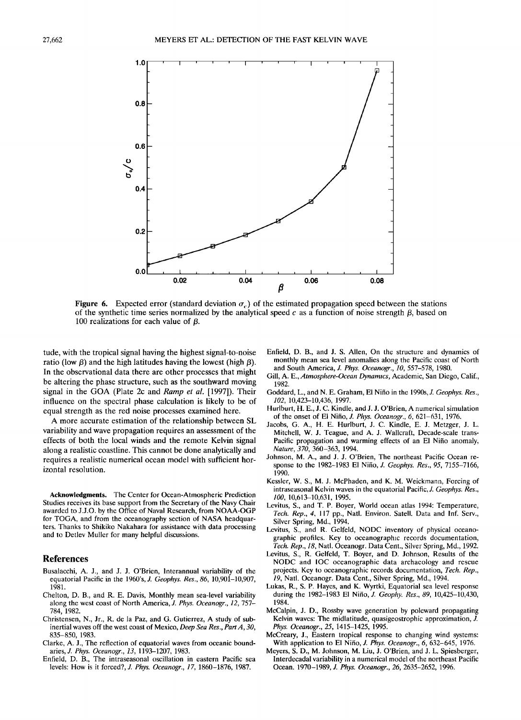

**Figure 6.** Expected error (standard deviation  $\sigma_c$ ) of the estimated propagation speed between the stations of the synthetic time series normalized by the analytical speed  $c$  as a function of noise strength  $\beta$ , based on 100 realizations for each value of  $\beta$ .

**tude, with the tropical signal having the highest signal-to-noise**  ratio (low  $\beta$ ) and the high latitudes having the lowest (high  $\beta$ ). **In the observational data there are other processes that might be altering the phase structure, such as the southward moving signal in the GOA (Plate 2c and Ramp et al. [1997]). Their influence on the spectral phase calculation is likely to be of equal strength as the red noise processes examined here.** 

**A more accurate estimation of the relationship between SL variability and wave propagation requires an assessment of the effects of both the local winds and the remote Kelvin signal along a realistic coastline. This cannot be done analytically and requires a realistic numerical ocean model with sufficient horizontal resolution.** 

**Acknowledgments. The Center for Ocean-Atmospheric Prediction Studies receives its base support from the Secretary of the Navy Chair awarded to J.J.O. by the Office of Naval Research, from NOAA-OGP for TOGA, and from the oceanography section of NASA headquarters. Thanks to Shikiko Nakahara for assistance with data processing and to Detlev Muller for many helpful discussions.** 

#### **References**

- **Busalacchi, A. J., and J. J. O'Brien, Interannual variability of the equatorial Pacific in the 1960's, J. Geophys. Res., 86, 10,901-10,907, 1981.**
- **Chelton, D. B., and R. E. Davis, Monthly mean sea-level variability along the west coast of North America, J. Phys. Oceanogr., 12, 757- 784, 1982.**
- **Christensen, N., Jr., R. de la Paz, and G. Gutierrez, A study of subinertial waves off the west coast of Mexico, Deep Sea Res., PartA, 30, 835-850, 1983.**
- **Clarke, A. J., The reflection of equatorial waves from oceanic boundaries, J. Phys. Oceanogr., 13, 1193-1207, 1983.**
- **Enfield, D. B., The intraseasonal oscillation in eastern Pacific sea levels: How is it forced?, J. Phys. Oceanogr., 17, 1860-1876, 1987.**
- **Enfield, D. B., and J. S. Allen, On the structure and dynamics of monthly mean sea level anomalies along the Pacific coast of North and South America, J. Phys. Oceanogr., 10, 557-578, 1980.**
- **Gill, A. E., Atmosphere-Ocean Dynamics, Academic, San Diego, Calif., 1982.**
- **Goddard, L., and N. E. Graham, E1Nifio in the 1990s, J. Geophys. Res., 102, 10,423-10,436, 1997.**
- **Hurlburt, H. E., J. C. Kindle, and J. J. O'Brien, A numerical simulation of the onset of E1Nifio, J. Phys. Oceanogr., 6, 621-631, 1976.**
- **Jacobs, G. A., H. E. Hurlburt, J. C. Kindle, E. J. Metzger, J. L. Mitchell, W. J. Teague, and A. J. Wallcraft, Decade-scale trans-Pacific propagation and warming effects of an E1 Nifio anomaly, Nature, 370, 360-363, 1994.**
- **Johnson, M. A., and J. J. O'Brien, The northeast Pacific Ocean response to the 1982-1983 E1 Nifio, J. Geophys. Res., 95, 7155-7166, 1990.**
- **Kessler, W. S., M. J. McPhaden, and K. M. Weickmann, Forcing of intraseasonal Kelvin waves in the equatorial Pacific, J. Geophys. Res., 100, 10,613-10,631, 1995.**
- **Levitus, S., and T. P. Boyer, World ocean atlas 1994: Temperature, Tech. Rep., 4, 117 pp., Natl. Environ. Satell. Data and Inf. Serv., Silver Spring, Md., 1994.**
- **Levitus, S., and R. Gelfeld, NODC inventory of physical oceanographic profiles. Key to oceanographic records documentation, Tech. Rep., 18, Natl. Oceanogr. Data Cent., Silver Spring, Md., 1992.**
- **Levitus, S., R. Gelfeld, T. Boyer, and D. Johnson, Results of the NODC and IOC oceanographic data archaeology and rescue projects. Key to oceanographic records documentation, Tech. Rep., 19, Natl. Oceanogr. Data Cent., Silver Spring, Md., 1994.**
- **Lukas, R., S. P. Hayes, and K. Wyrtki, Equatorial sea level response during the 1982-1983 E1 Nifio, J. Geophy. Res., 89, 10,425-10,430, 1984.**
- **McCalpin, J. D., Rossby wave generation by poleward propagating Kelvin waves: The midlatitude, quasigeostrophic approximation, J. Phys. Oceanogr., 25, 1415-1425, 1995.**
- **McCreary, J., Eastern tropical response to changing wind systems: With application to E1 Nifio, J. Phys. Oceanogr., 6, 632-645, 1976.**
- **Meyers, S. D., M. Johnson, M. Liu, J. O'Brien, and J. L. Spiesberger, Interdecadal variability in a numerical model of the northeast Pacific Ocean. 1970-1989, J. Phys. Oceanogr., 26, 2635-2652, 1996.**